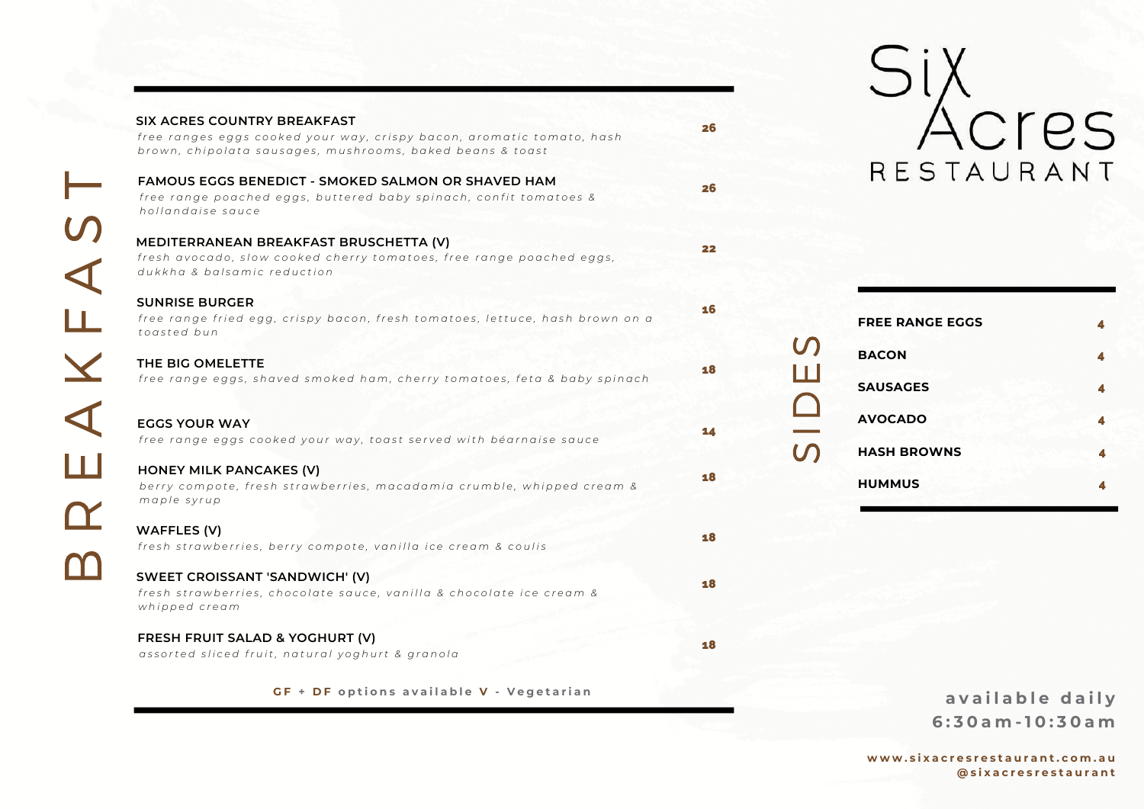| SIX ACRES COUNTRY BREAKFAST                                                                                                        |
|------------------------------------------------------------------------------------------------------------------------------------|
| free ranges eggs cooked your way, crispy bacon, aromatic tomato, hash<br>brown, chipolata sausages, mushrooms, baked beans & toast |
| <b>FAMOUS EGGS BENEDICT - SMOKED SALMON OR SHAVED HAM</b>                                                                          |
| free range poached eggs, buttered baby spinach, confit tomatoes &<br>hollandaise sauce                                             |
| MEDITERRANEAN BREAKFAST BRUSCHETTA (V)                                                                                             |
| fresh avocado, slow cooked cherry tomatoes, free range poached eggs,<br>dukkha & balsamic reduction                                |
| <b>SUNRISE BURGER</b>                                                                                                              |
| free range fried egg, crispy bacon, fresh tomatoes, lettuce, hash brown on a<br>toasted bun                                        |
| THE BIG OMELETTE                                                                                                                   |
| free range eggs, shaved smoked ham, cherry tomatoes, feta & baby spinach                                                           |
| <b>EGGS YOUR WAY</b>                                                                                                               |
| free range eggs cooked your way, toast served with béarnaise sauce                                                                 |
| <b>HONEY MILK PANCAKES (V)</b>                                                                                                     |
| berry compote, fresh strawberries, macadamia crumble, whipped cream &<br>maple syrup                                               |
| <b>WAFFLES (V)</b>                                                                                                                 |
| fresh strawberries, berry compote, vanilla ice cream & coulis                                                                      |
| SWEET CROISSANT 'SANDWICH' (V)                                                                                                     |
| fresh strawberries, chocolate sauce, vanilla & chocolate ice cream &<br>whipped cream                                              |
| FRESH FRUIT SALAD & YOGHURT (V)                                                                                                    |
| assorted sliced fruit, natural yoghurt & granola                                                                                   |

**GF + DF** options available V - Vegetarian

## Six Acres RESTAURANT

|                            | <b>FREE RANGE EGGS</b> | 4 |
|----------------------------|------------------------|---|
| $\boldsymbol{\mathcal{D}}$ | <b>BACON</b>           | 4 |
|                            | <b>SAUSAGES</b>        | 4 |
|                            | <b>AVOCADO</b>         | 4 |
| $\boldsymbol{\mathcal{D}}$ | <b>HASH BROWNS</b>     | 4 |
|                            | <b>HUMMUS</b>          |   |

> **a v a i l a b l e d a i l y 6 : 3 0 a m -1 0 : 3 0 a m**

www.sixacresrestaurant.com.au **@ s i x a c r e s r e s t a u r a n t**